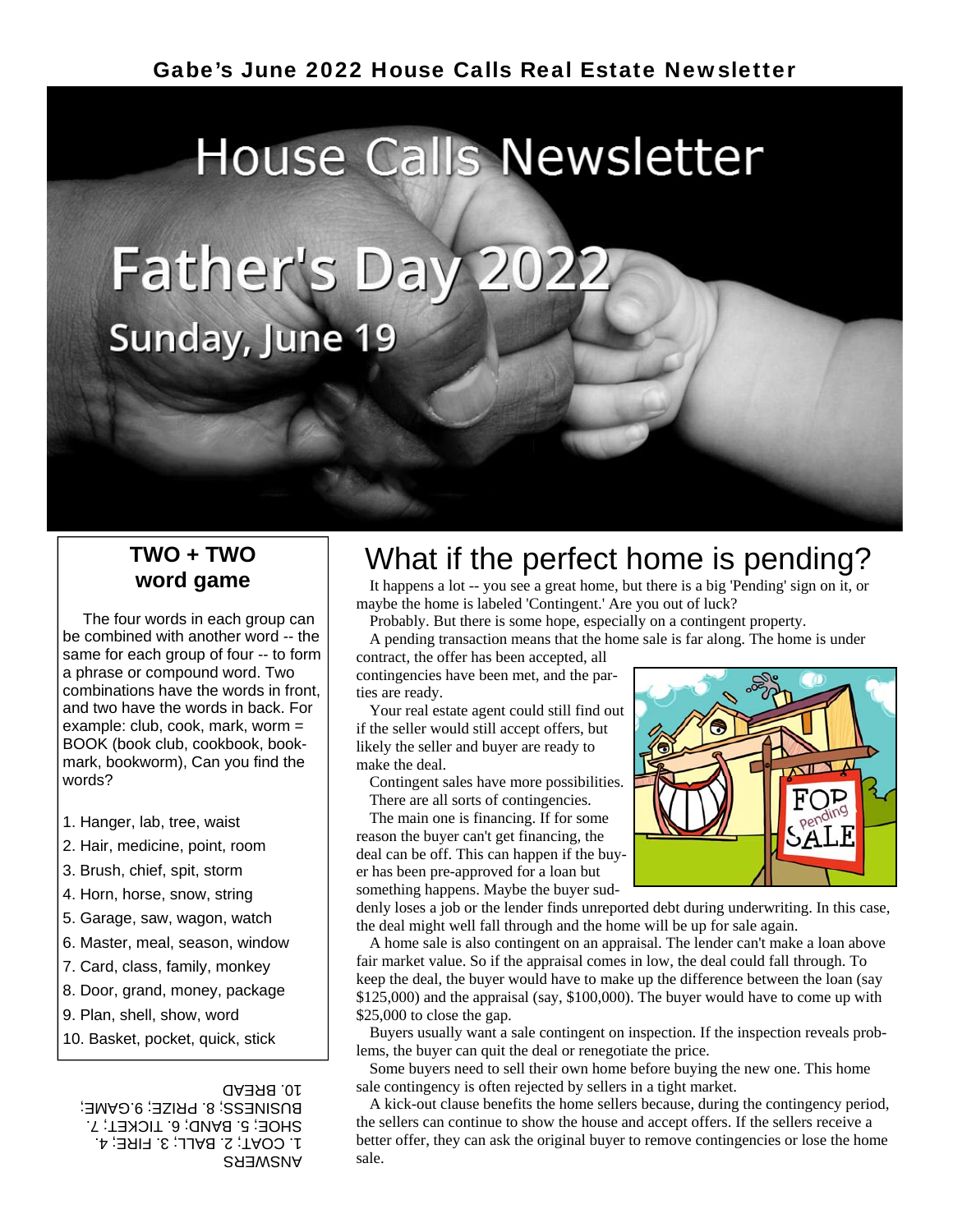# **House Calls Newsletter** Father's Day 2022 Sunday, June 19

#### **TWO + TWO word game**

 The four words in each group can be combined with another word -- the same for each group of four -- to form a phrase or compound word. Two combinations have the words in front, and two have the words in back. For example: club, cook, mark, worm = BOOK (book club, cookbook, bookmark, bookworm), Can you find the words?

- 1. Hanger, lab, tree, waist
- 2. Hair, medicine, point, room
- 3. Brush, chief, spit, storm
- 4. Horn, horse, snow, string
- 5. Garage, saw, wagon, watch
- 6. Master, meal, season, window
- 7. Card, class, family, monkey
- 8. Door, grand, money, package
- 9. Plan, shell, show, word
- 10. Basket, pocket, quick, stick

#### 10. BREAD

SHEMSNY sale. 1. COAT; 2. BALL; 3. FIRE; 4. SHOE; 5. BAND; 6. TICKET; 7. BUSINESS; 8. PRIZE; 9.GAME;

# What if the perfect home is pending?

 It happens a lot -- you see a great home, but there is a big 'Pending' sign on it, or maybe the home is labeled 'Contingent.' Are you out of luck?

Probably. But there is some hope, especially on a contingent property.

A pending transaction means that the home sale is far along. The home is under

contract, the offer has been accepted, all contingencies have been met, and the parties are ready.

 Your real estate agent could still find out if the seller would still accept offers, but likely the seller and buyer are ready to make the deal.

 Contingent sales have more possibilities. There are all sorts of contingencies.

The main one is financing. If for some

reason the buyer can't get financing, the deal can be off. This can happen if the buyer has been pre-approved for a loan but something happens. Maybe the buyer sud-



denly loses a job or the lender finds unreported debt during underwriting. In this case, the deal might well fall through and the home will be up for sale again.

 A home sale is also contingent on an appraisal. The lender can't make a loan above fair market value. So if the appraisal comes in low, the deal could fall through. To keep the deal, the buyer would have to make up the difference between the loan (say \$125,000) and the appraisal (say, \$100,000). The buyer would have to come up with \$25,000 to close the gap.

 Buyers usually want a sale contingent on inspection. If the inspection reveals problems, the buyer can quit the deal or renegotiate the price.

 Some buyers need to sell their own home before buying the new one. This home sale contingency is often rejected by sellers in a tight market.

 A kick-out clause benefits the home sellers because, during the contingency period, the sellers can continue to show the house and accept offers. If the sellers receive a better offer, they can ask the original buyer to remove contingencies or lose the home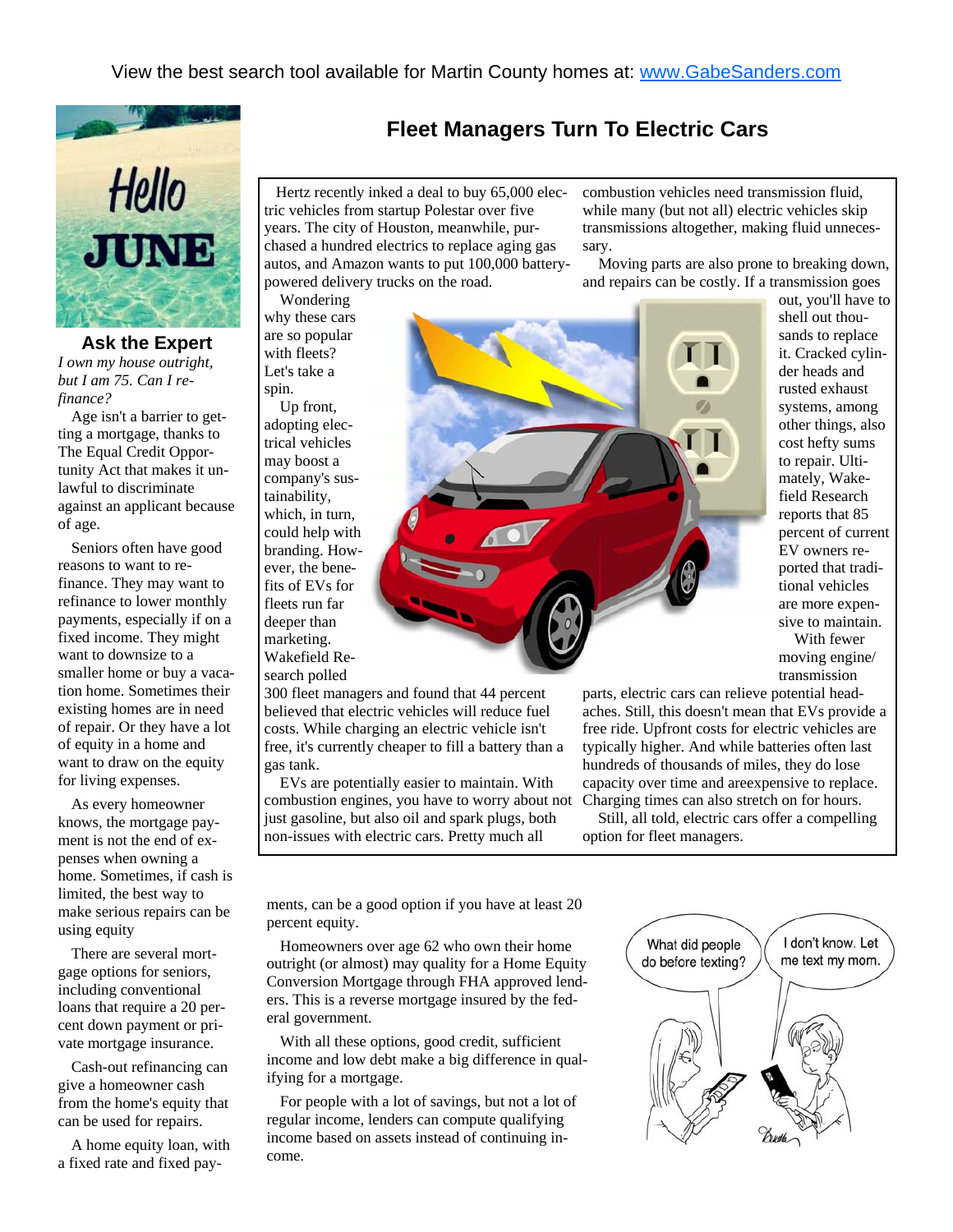

**Ask the Expert**  *I own my house outright, but I am 75. Can I refinance?* 

 Age isn't a barrier to getting a mortgage, thanks to The Equal Credit Opportunity Act that makes it unlawful to discriminate against an applicant because of age.

 Seniors often have good reasons to want to refinance. They may want to refinance to lower monthly payments, especially if on a fixed income. They might want to downsize to a smaller home or buy a vacation home. Sometimes their existing homes are in need of repair. Or they have a lot of equity in a home and want to draw on the equity for living expenses.

 As every homeowner knows, the mortgage payment is not the end of expenses when owning a home. Sometimes, if cash is limited, the best way to make serious repairs can be using equity

 There are several mortgage options for seniors, including conventional loans that require a 20 percent down payment or private mortgage insurance.

 Cash-out refinancing can give a homeowner cash from the home's equity that can be used for repairs.

 A home equity loan, with a fixed rate and fixed pay-

 Hertz recently inked a deal to buy 65,000 electric vehicles from startup Polestar over five years. The city of Houston, meanwhile, purchased a hundred electrics to replace aging gas autos, and Amazon wants to put 100,000 batterypowered delivery trucks on the road.

Wondering

why these cars are so popular with fleets? Let's take a spin.

 Up front, adopting electrical vehicles may boost a company's sustainability, which, in turn, could help with branding. However, the benefits of EVs for fleets run far deeper than marketing. Wakefield Research polled

300 fleet managers and found that 44 percent believed that electric vehicles will reduce fuel costs. While charging an electric vehicle isn't free, it's currently cheaper to fill a battery than a gas tank.

 EVs are potentially easier to maintain. With combustion engines, you have to worry about not just gasoline, but also oil and spark plugs, both non-issues with electric cars. Pretty much all

combustion vehicles need transmission fluid, while many (but not all) electric vehicles skip transmissions altogether, making fluid unnecessary.

 Moving parts are also prone to breaking down, and repairs can be costly. If a transmission goes

**Fleet Managers Turn To Electric Cars** 

out, you'll have to shell out thousands to replace it. Cracked cylinder heads and rusted exhaust systems, among other things, also cost hefty sums to repair. Ultimately, Wakefield Research reports that 85 percent of current EV owners reported that traditional vehicles are more expensive to maintain. With fewer moving engine/ transmission

parts, electric cars can relieve potential headaches. Still, this doesn't mean that EVs provide a free ride. Upfront costs for electric vehicles are typically higher. And while batteries often last hundreds of thousands of miles, they do lose capacity over time and areexpensive to replace. Charging times can also stretch on for hours.

 Still, all told, electric cars offer a compelling option for fleet managers.

ments, can be a good option if you have at least 20 percent equity.

 Homeowners over age 62 who own their home outright (or almost) may quality for a Home Equity Conversion Mortgage through FHA approved lenders. This is a reverse mortgage insured by the federal government.

 With all these options, good credit, sufficient income and low debt make a big difference in qualifying for a mortgage.

 For people with a lot of savings, but not a lot of regular income, lenders can compute qualifying income based on assets instead of continuing income.

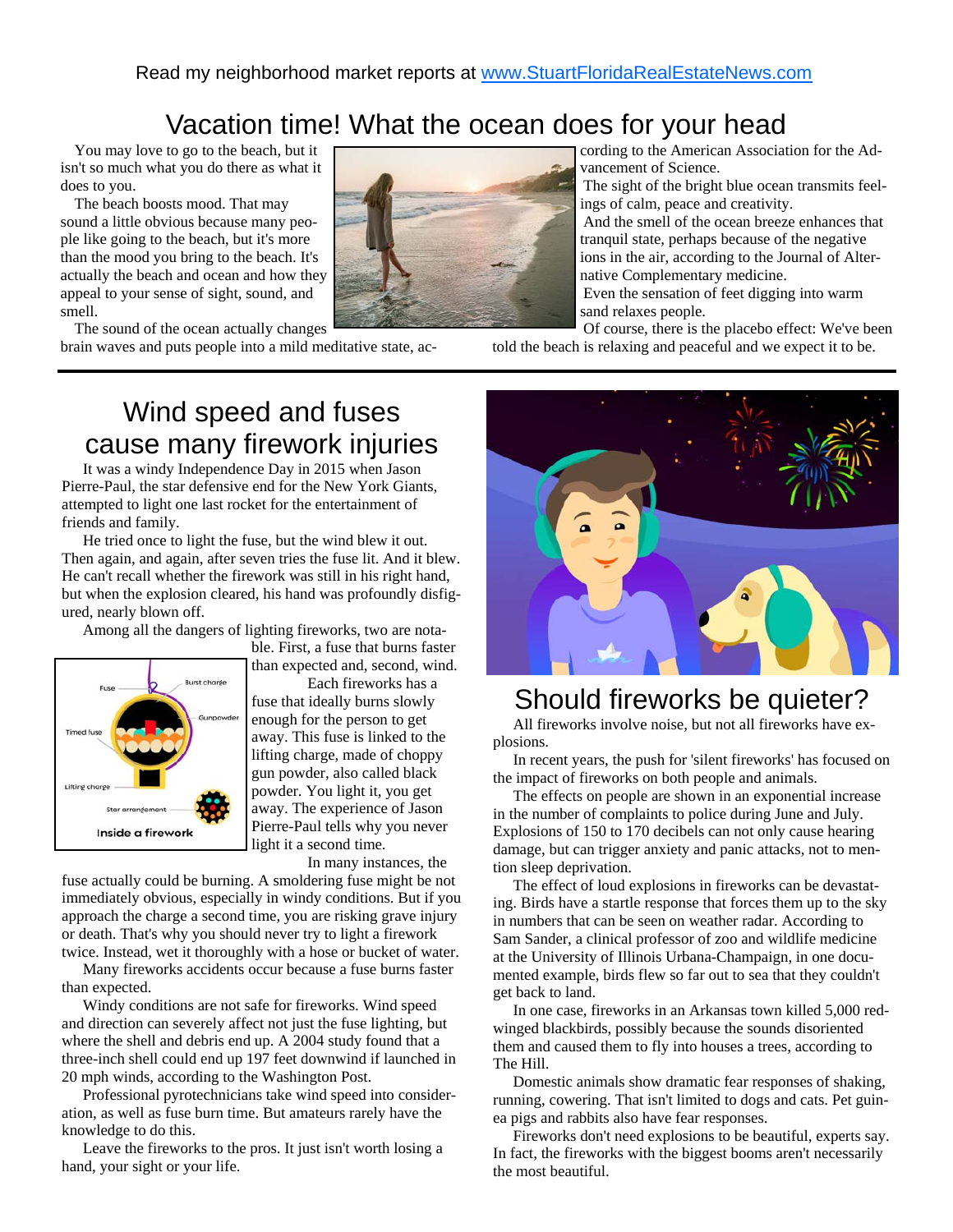## Vacation time! What the ocean does for your head

 You may love to go to the beach, but it isn't so much what you do there as what it does to you.

 The beach boosts mood. That may sound a little obvious because many people like going to the beach, but it's more than the mood you bring to the beach. It's actually the beach and ocean and how they appeal to your sense of sight, sound, and smell.

 The sound of the ocean actually changes brain waves and puts people into a mild meditative state, according to the American Association for the Advancement of Science.

 The sight of the bright blue ocean transmits feelings of calm, peace and creativity.

 And the smell of the ocean breeze enhances that tranquil state, perhaps because of the negative ions in the air, according to the Journal of Alternative Complementary medicine.

 Even the sensation of feet digging into warm sand relaxes people.

 Of course, there is the placebo effect: We've been told the beach is relaxing and peaceful and we expect it to be.

# Wind speed and fuses cause many firework injuries

 It was a windy Independence Day in 2015 when Jason Pierre-Paul, the star defensive end for the New York Giants, attempted to light one last rocket for the entertainment of friends and family.

 He tried once to light the fuse, but the wind blew it out. Then again, and again, after seven tries the fuse lit. And it blew. He can't recall whether the firework was still in his right hand, but when the explosion cleared, his hand was profoundly disfigured, nearly blown off.

Among all the dangers of lighting fireworks, two are nota-



ble. First, a fuse that burns faster than expected and, second, wind.

 Each fireworks has a fuse that ideally burns slowly enough for the person to get away. This fuse is linked to the lifting charge, made of choppy gun powder, also called black powder. You light it, you get away. The experience of Jason Pierre-Paul tells why you never light it a second time.

In many instances, the

fuse actually could be burning. A smoldering fuse might be not immediately obvious, especially in windy conditions. But if you approach the charge a second time, you are risking grave injury or death. That's why you should never try to light a firework twice. Instead, wet it thoroughly with a hose or bucket of water.

 Many fireworks accidents occur because a fuse burns faster than expected.

 Windy conditions are not safe for fireworks. Wind speed and direction can severely affect not just the fuse lighting, but where the shell and debris end up. A 2004 study found that a three-inch shell could end up 197 feet downwind if launched in 20 mph winds, according to the Washington Post.

 Professional pyrotechnicians take wind speed into consideration, as well as fuse burn time. But amateurs rarely have the knowledge to do this.

 Leave the fireworks to the pros. It just isn't worth losing a hand, your sight or your life.



### Should fireworks be quieter?

 All fireworks involve noise, but not all fireworks have explosions.

 In recent years, the push for 'silent fireworks' has focused on the impact of fireworks on both people and animals.

 The effects on people are shown in an exponential increase in the number of complaints to police during June and July. Explosions of 150 to 170 decibels can not only cause hearing damage, but can trigger anxiety and panic attacks, not to mention sleep deprivation.

 The effect of loud explosions in fireworks can be devastating. Birds have a startle response that forces them up to the sky in numbers that can be seen on weather radar. According to Sam Sander, a clinical professor of zoo and wildlife medicine at the University of Illinois Urbana-Champaign, in one documented example, birds flew so far out to sea that they couldn't get back to land.

 In one case, fireworks in an Arkansas town killed 5,000 redwinged blackbirds, possibly because the sounds disoriented them and caused them to fly into houses a trees, according to The Hill.

 Domestic animals show dramatic fear responses of shaking, running, cowering. That isn't limited to dogs and cats. Pet guinea pigs and rabbits also have fear responses.

 Fireworks don't need explosions to be beautiful, experts say. In fact, the fireworks with the biggest booms aren't necessarily the most beautiful.